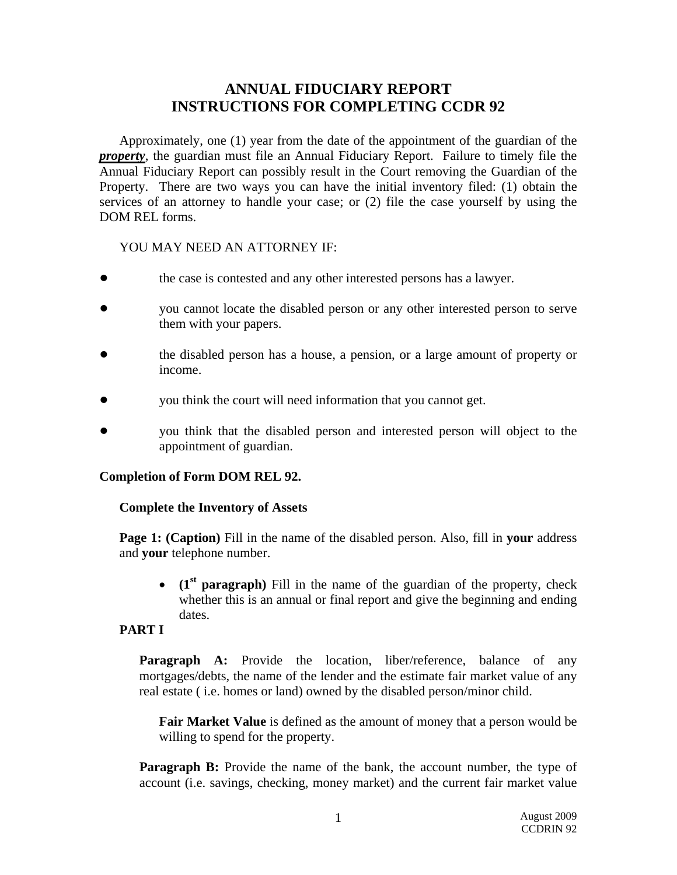# **ANNUAL FIDUCIARY REPORT INSTRUCTIONS FOR COMPLETING CCDR 92**

 Approximately, one (1) year from the date of the appointment of the guardian of the *property*, the guardian must file an Annual Fiduciary Report. Failure to timely file the Annual Fiduciary Report can possibly result in the Court removing the Guardian of the Property. There are two ways you can have the initial inventory filed: (1) obtain the services of an attorney to handle your case; or (2) file the case yourself by using the DOM REL forms.

### YOU MAY NEED AN ATTORNEY IF:

- **the case is contested and any other interested persons has a lawyer.**
- ! you cannot locate the disabled person or any other interested person to serve them with your papers.
- ! the disabled person has a house, a pension, or a large amount of property or income.
- ! you think the court will need information that you cannot get.
- ! you think that the disabled person and interested person will object to the appointment of guardian.

### **Completion of Form DOM REL 92.**

### **Complete the Inventory of Assets**

**Page 1: (Caption)** Fill in the name of the disabled person. Also, fill in **your** address and **your** telephone number.

• **(1<sup>st</sup> paragraph)** Fill in the name of the guardian of the property, check whether this is an annual or final report and give the beginning and ending dates.

# **PART I**

**Paragraph A:** Provide the location, liber/reference, balance of any mortgages/debts, the name of the lender and the estimate fair market value of any real estate ( i.e. homes or land) owned by the disabled person/minor child.

**Fair Market Value** is defined as the amount of money that a person would be willing to spend for the property.

**Paragraph B:** Provide the name of the bank, the account number, the type of account (i.e. savings, checking, money market) and the current fair market value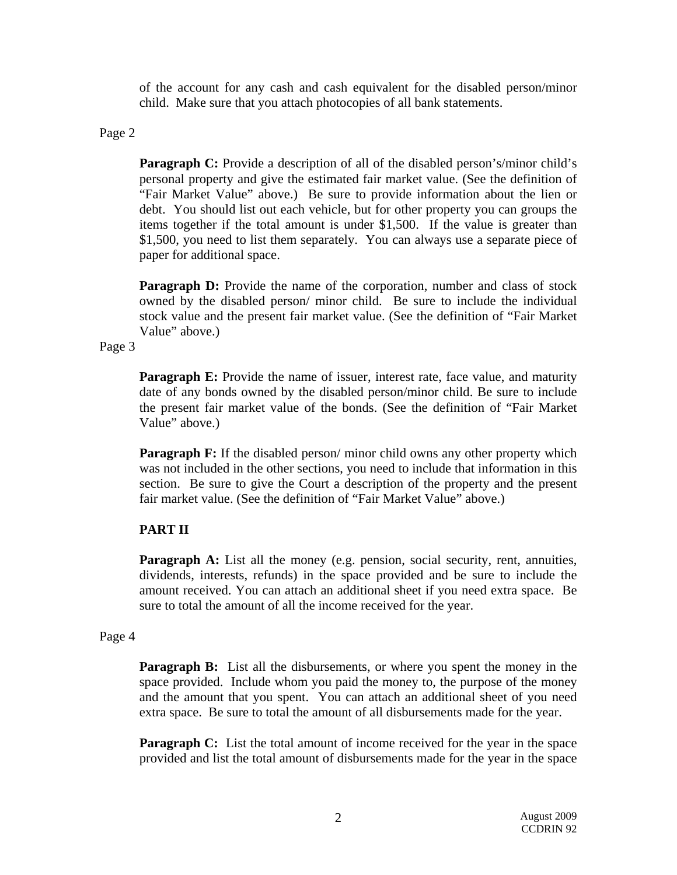of the account for any cash and cash equivalent for the disabled person/minor child. Make sure that you attach photocopies of all bank statements.

### Page 2

**Paragraph C:** Provide a description of all of the disabled person's/minor child's personal property and give the estimated fair market value. (See the definition of "Fair Market Value" above.) Be sure to provide information about the lien or debt. You should list out each vehicle, but for other property you can groups the items together if the total amount is under \$1,500. If the value is greater than \$1,500, you need to list them separately. You can always use a separate piece of paper for additional space.

**Paragraph D:** Provide the name of the corporation, number and class of stock owned by the disabled person/ minor child. Be sure to include the individual stock value and the present fair market value. (See the definition of "Fair Market Value" above.)

### Page 3

**Paragraph E:** Provide the name of issuer, interest rate, face value, and maturity date of any bonds owned by the disabled person/minor child. Be sure to include the present fair market value of the bonds. (See the definition of "Fair Market Value" above.)

**Paragraph F:** If the disabled person/ minor child owns any other property which was not included in the other sections, you need to include that information in this section. Be sure to give the Court a description of the property and the present fair market value. (See the definition of "Fair Market Value" above.)

# **PART II**

**Paragraph A:** List all the money (e.g. pension, social security, rent, annuities, dividends, interests, refunds) in the space provided and be sure to include the amount received. You can attach an additional sheet if you need extra space. Be sure to total the amount of all the income received for the year.

# Page 4

**Paragraph B:** List all the disbursements, or where you spent the money in the space provided. Include whom you paid the money to, the purpose of the money and the amount that you spent. You can attach an additional sheet of you need extra space. Be sure to total the amount of all disbursements made for the year.

**Paragraph C:** List the total amount of income received for the year in the space provided and list the total amount of disbursements made for the year in the space